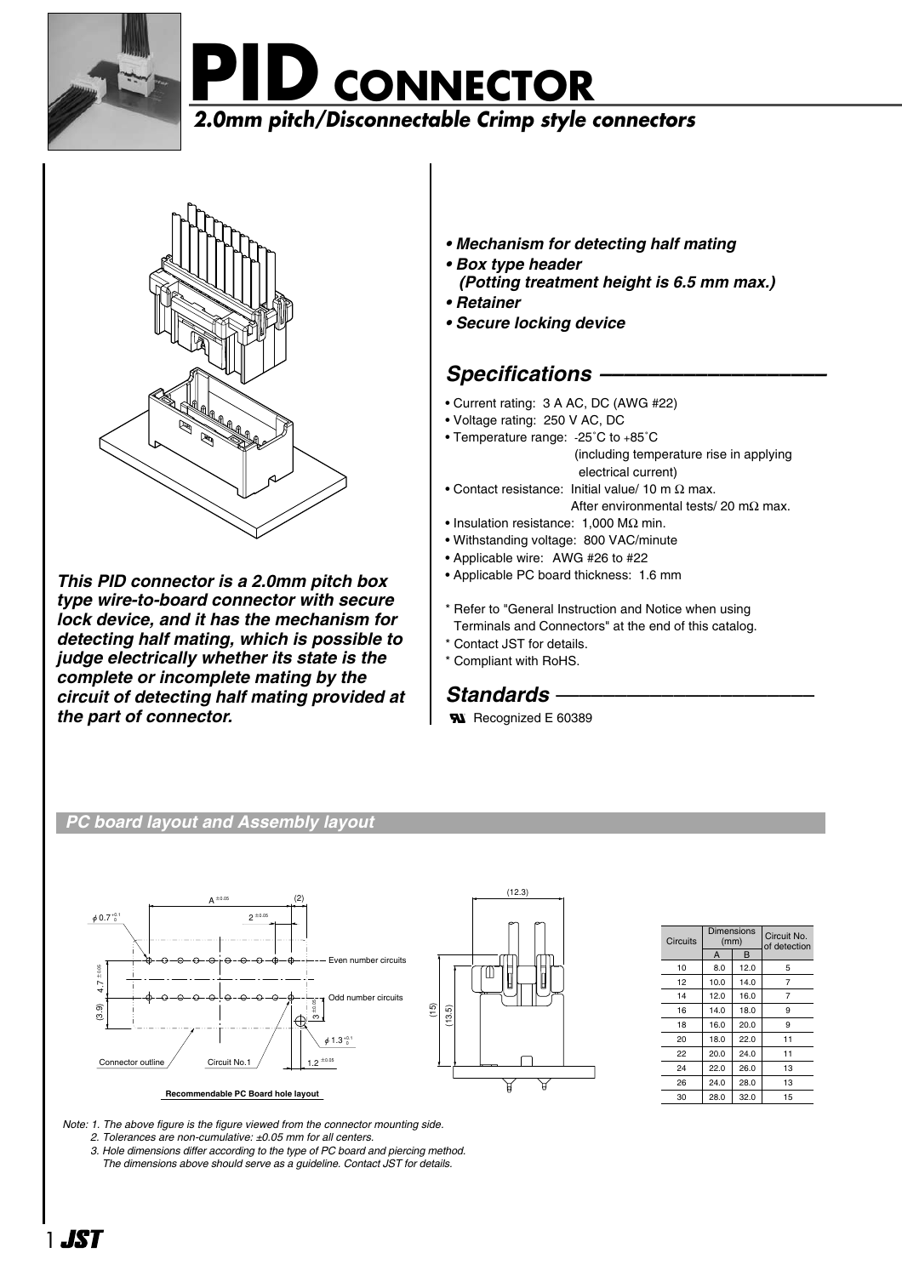

**PID CONNECTOR 2.0mm pitch/Disconnectable Crimp style connectors**



*This PID connector is a 2.0mm pitch box type wire-to-board connector with secure lock device, and it has the mechanism for detecting half mating, which is possible to judge electrically whether its state is the complete or incomplete mating by the circuit of detecting half mating provided at the part of connector.* 

# *• Mechanism for detecting half mating*

- *Box type header*
- *(Potting treatment height is 6.5 mm max.)*
- *Retainer*
- *Secure locking device*

# *Specifications –––––––––––––––––––*

- Current rating: 3 A AC, DC (AWG #22)
- Voltage rating: 250 V AC, DC
- Temperature range: -25˚C to +85˚C (including temperature rise in applying electrical current)
- Contact resistance: Initial value/ 10 m  $\Omega$  max. After environmental tests/ 20 m $\Omega$  max.
- Insulation resistance: 1,000 MΩ min.
- Withstanding voltage: 800 VAC/minute
- Applicable wire: AWG #26 to #22
- Applicable PC board thickness: 1.6 mm
- \* Refer to "General Instruction and Notice when using Terminals and Connectors" at the end of this catalog.
- \* Contact JST for details.
- \* Compliant with RoHS.

**Standards** –<br>**W** Recognized E 60389

# *PC board layout and Assembly layout*



| Circuits | (mm)   | Dimensions | Circuit No.<br>of detection |  |  |
|----------|--------|------------|-----------------------------|--|--|
|          | B<br>A |            |                             |  |  |
| 10       | 8.0    | 12.0       | 5                           |  |  |
| 12       | 10.0   | 14.0       | 7                           |  |  |
| 14       | 12.0   | 16.0       | 7                           |  |  |
| 16       | 14.0   | 18.0       | 9                           |  |  |
| 18       | 16.0   | 20.0       | 9                           |  |  |
| 20       | 18.0   | 22.0       | 11                          |  |  |
| 22       | 20.0   | 24.0       | 11                          |  |  |
| 24       | 22.0   | 26.0       | 13                          |  |  |
| 26       | 24.0   | 28.0       | 13                          |  |  |
| 30       | 28.0   | 32.0       | 15                          |  |  |

*Note: 1. The above figure is the figure viewed from the connector mounting side.*

- *2. Tolerances are non-cumulative: ±0.05 mm for all centers.*
- *3. Hole dimensions differ according to the type of PC board and piercing method. The dimensions above should serve as a guideline. Contact JST for details.*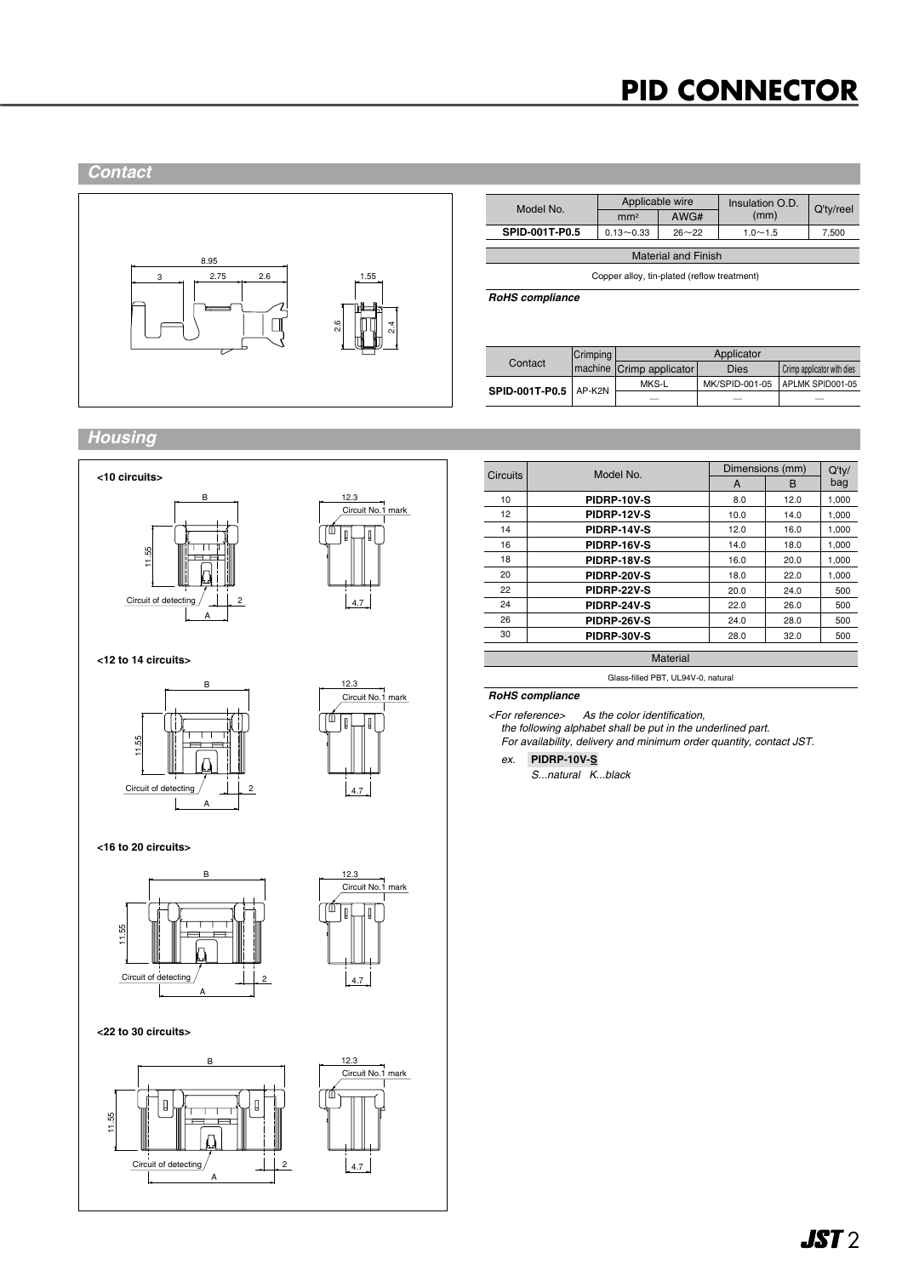# **PID CONNECTOR**





| Model No.                                   | Applicable wire |           | Insulation O.D. | Q'ty/reel |  |  |
|---------------------------------------------|-----------------|-----------|-----------------|-----------|--|--|
|                                             | mm <sup>2</sup> | AWG#      | (mm)            |           |  |  |
| SPID-001T-P0.5                              | $0.13 - 0.33$   | $26 - 22$ | $1.0 - 1.5$     | 7,500     |  |  |
|                                             |                 |           |                 |           |  |  |
| <b>Material and Finish</b>                  |                 |           |                 |           |  |  |
| Copper alloy, tin-plated (reflow treatment) |                 |           |                 |           |  |  |

*RoHS compliance*

|                         | Crimping | Applicator                |                |                            |  |
|-------------------------|----------|---------------------------|----------------|----------------------------|--|
| Contact                 |          | Imachine Crimp applicator | <b>Dies</b>    | Crimp applicator with dies |  |
| SPID-001T-P0.5   AP-K2N |          | MKS-L                     | MK/SPID-001-05 | APLMK SPID001-05           |  |
|                         |          |                           |                |                            |  |

## *Housing*







**<16 to 20 circuits>**





### **<22 to 30 circuits>**



| <b>Circuits</b> | Model No.   | Dimensions (mm) |      | Q'tv/ |
|-----------------|-------------|-----------------|------|-------|
|                 |             | A               | B    | bag   |
| 10              | PIDRP-10V-S | 8.0             | 12.0 | 1,000 |
| 12              | PIDRP-12V-S | 10.0            | 14.0 | 1,000 |
| 14              | PIDRP-14V-S | 12.0            | 16.0 | 1,000 |
| 16              | PIDRP-16V-S | 14.0            | 18.0 | 1,000 |
| 18              | PIDRP-18V-S | 16.0            | 20.0 | 1,000 |
| 20              | PIDRP-20V-S | 18.0            | 22.0 | 1,000 |
| 22              | PIDRP-22V-S | 20.0            | 24.0 | 500   |
| 24              | PIDRP-24V-S | 22.0            | 26.0 | 500   |
| 26              | PIDRP-26V-S | 24.0            | 28.0 | 500   |
| 30              | PIDRP-30V-S | 28.0            | 32.0 | 500   |
|                 |             |                 |      |       |

Glass-filled PBT, UL94V-0, natural

### *RoHS compliance*

*<For reference> As the color identification, the following alphabet shall be put in the underlined part. For availability, delivery and minimum order quantity, contact JST.*

# *ex.* **PIDRP-10V-S**

*S...natural K...black*